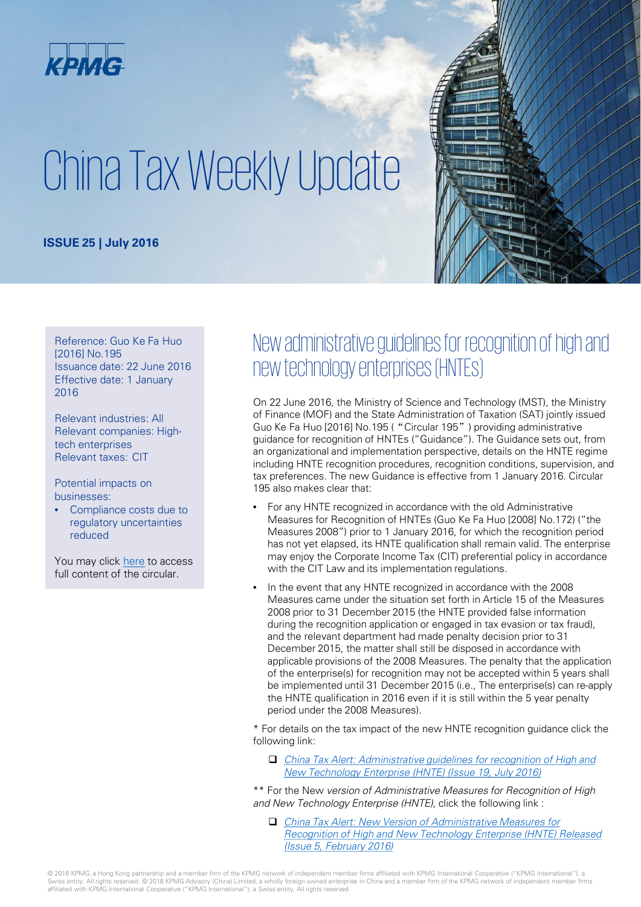

# China Tax Weekly Update

#### **ISSUE 25 | July 2016**



Reference: Guo Ke Fa Huo [2016] No.195 Issuance date: 22 June 2016 Effective date: 1 January 2016

Relevant industries: All Relevant companies: Hightech enterprises Relevant taxes: CIT

Potential impacts on businesses:

Compliance costs due to regulatory uncertainties reduced

You may click [here](http://www.most.gov.cn/mostinfo/xinxifenlei/fgzc/gfxwj/gfxwj2016/201606/t20160629_126169.htm) to access full content of the circular.

#### New administrative guidelines for recognition of high and new technology enterprises (HNTEs)

On 22 June 2016, the Ministry of Science and Technology (MST), the Ministry of Finance (MOF) and the State Administration of Taxation (SAT) jointly issued Guo Ke Fa Huo [2016] No.195 ("Circular 195") providing administrative guidance for recognition of HNTEs ("Guidance"). The Guidance sets out, from an organizational and implementation perspective, details on the HNTE regime including HNTE recognition procedures, recognition conditions, supervision, and tax preferences. The new Guidance is effective from 1 January 2016. Circular 195 also makes clear that:

- For any HNTE recognized in accordance with the old Administrative Measures for Recognition of HNTEs (Guo Ke Fa Huo [2008] No.172) ("the Measures 2008") prior to 1 January 2016, for which the recognition period has not yet elapsed, its HNTE qualification shall remain valid. The enterprise may enjoy the Corporate Income Tax (CIT) preferential policy in accordance with the CIT Law and its implementation regulations.
- In the event that any HNTE recognized in accordance with the 2008 Measures came under the situation set forth in Article 15 of the Measures 2008 prior to 31 December 2015 (the HNTE provided false information during the recognition application or engaged in tax evasion or tax fraud), and the relevant department had made penalty decision prior to 31 December 2015, the matter shall still be disposed in accordance with applicable provisions of the 2008 Measures. The penalty that the application of the enterprise(s) for recognition may not be accepted within 5 years shall be implemented until 31 December 2015 (i.e., The enterprise(s) can re-apply the HNTE qualification in 2016 even if it is still within the 5 year penalty period under the 2008 Measures).

\* For details on the tax impact of the new HNTE recognition guidance click the following link:

- [China Tax Alert: Administrative guidelines for recognition of High and](https://home.kpmg.com/cn/zh/home/insights/2016/07/china-tax-alert-19.html)  New Technology Enterprise (HNTE) (Issue 19, July 2016)
- \*\* For the New version of Administrative Measures for Recognition of High and New Technology Enterprise (HNTE), click the following link :
	- China Tax Alert: New Version of Administrative Measures for [Recognition of High and New Technology Enterprise \(HNTE\) Released](https://home.kpmg.com/cn/en/home/insights/2016/02/china-tax-alert-05-new-version-of-admin-measures-for-hnte.html)  (Issue 5, February 2016)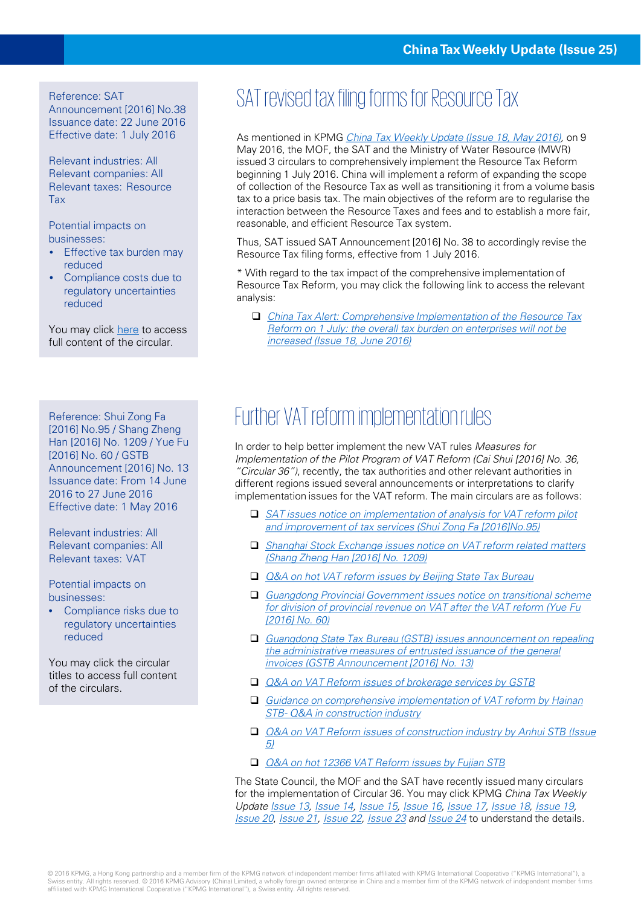Announcement [2016] No.38 Issuance date: 22 June 2016 Effective date: 1 July 2016

Relevant industries: All Relevant companies: All Relevant taxes: Resource Tax

Potential impacts on businesses:

- Effective tax burden may reduced
- Compliance costs due to regulatory uncertainties reduced

You may click [here](http://www.chinatax.gov.cn/n810341/n810755/c2185564/content.html) to access full content of the circular.

[2016] No.95 / Shang Zheng Han [2016] No. 1209 / Yue Fu [2016] No. 60 / GSTB Announcement [2016] No. 13 Issuance date: From 14 June 2016 to 27 June 2016 Effective date: 1 May 2016

Relevant industries: All Relevant companies: All Relevant taxes: VAT

Potential impacts on businesses:

• Compliance risks due to regulatory uncertainties reduced

You may click the circular titles to access full content of the circulars.

## Reference: SAT revised tax filing forms for Resource Tax

As mentioned in KPMG [China Tax Weekly Update](https://home.kpmg.com/cn/en/home/insights/2016/05/china-tax-weekly-update-18.html) (Issue 18, May 2016), on 9 May 2016, the MOF, the SAT and the Ministry of Water Resource (MWR) issued 3 circulars to comprehensively implement the Resource Tax Reform beginning 1 July 2016. China will implement a reform of expanding the scope of collection of the Resource Tax as well as transitioning it from a volume basis tax to a price basis tax. The main objectives of the reform are to regularise the interaction between the Resource Taxes and fees and to establish a more fair, reasonable, and efficient Resource Tax system.

Thus, SAT issued SAT Announcement [2016] No. 38 to accordingly revise the Resource Tax filing forms, effective from 1 July 2016.

\* With regard to the tax impact of the comprehensive implementation of Resource Tax Reform, you may click the following link to access the relevant analysis:

 China Tax Alert: Comprehensive Implementation of the Resource Tax [Reform on 1 July: the overall tax burden on enterprises will not be](https://home.kpmg.com/cn/zh/home/insights/2016/06/china-tax-alert-18.html)  increased (Issue 18, June 2016)

## Reference: Shui Zong Faw Eurther VAT reform implementation rules

In order to help better implement the new VAT rules Measures for Implementation of the Pilot Program of VAT Reform (Cai Shui [2016] No. 36, "Circular 36"), recently, the tax authorities and other relevant authorities in different regions issued several announcements or interpretations to clarify implementation issues for the VAT reform. The main circulars are as follows:

- □ SAT issues notice on implementation of analysis for VAT reform pilot and improvement of tax services (Shui Zong Fa [2016]No.95)
- □ Shanghai Stock Exchange issues notice on VAT reform related matters (Shang Zheng Han [2016] No. 1209)
- □ Q&A on hot VAT reform issues by Beijing State Tax Bureau
- Guangdong Provincial Government issues notice on transitional scheme for division of provincial revenue on VAT after the VAT reform (Yue Fu [2016] No. 60)
- [Guangdong State Tax Bureau \(GSTB\) issues announcement on repealing](http://www.zs.gd-n-tax.gov.cn/pub/gdgsww/xxgk/ssfg/fgk/qbfg/dffg_760/gdsgjswj/201606/t20160628_968569.html)  the administrative measures of entrusted issuance of the general invoices (GSTB Announcement [2016] No. 13)
- □ *[Q&A on VAT Reform issues of brokerage services by GSTB](http://www.gd-n-tax.gov.cn/pub/gzsgsww/bsfw/bszt/ygz/ygzrdwd/201605/t20160523_935334.html)*
- [Guidance on comprehensive implementation of VAT reform by Hainan](http://www.hitax.gov.cn/ssxc_3_17_8/2382061.html) STB- Q&A in construction industry
- □ Q&A on VAT Reform issues of construction industry by Anhui STB (Issue 5)
- [Q&A on hot 12366 VAT Reform issues by Fujian STB](http://www.fj-n-tax.gov.cn/admin/vfs/fj/content/contentTemplate.jsp?ContentId=1141919&siteName=fj&styleName=blue&portletStyleName=menu&menuID=1)

The State Council, the MOF and the SAT have recently issued many circulars for the implementation of Circular 36. You may click KPMG China Tax Weekly Update [Issue 13,](https://home.kpmg.com/cn/en/home/insights/2016/04/china-tax-weekly-update-13.html) [Issue 14](https://home.kpmg.com/cn/en/home/insights/2016/04/china-tax-weekly-update-14.html), [Issue 15,](https://home.kpmg.com/cn/en/home/insights/2016/04/china-tax-weekly-update-15.html) [Issue 16,](https://home.kpmg.com/cn/en/home/insights/2016/05/china-tax-weekly-update-16.html) [Issue 17,](https://home.kpmg.com/cn/en/home/insights/2016/05/china-tax-weekly-update-17.html) [Issue 18,](https://home.kpmg.com/cn/en/home/insights/2016/05/china-tax-weekly-update-18.html) [Issue 19,](https://home.kpmg.com/cn/en/home/insights/2016/05/china-tax-weekly-update-19.html) [Issue 20](https://home.kpmg.com/cn/en/home/insights/2016/06/china-tax-weekly-update-20.html), [Issue 21](https://home.kpmg.com/cn/en/home/insights/2016/06/china-tax-weekly-update-21.html), [Issue 22,](https://home.kpmg.com/cn/en/home/insights/2016/06/china-tax-weekly-update-22.html) [Issue 23](https://home.kpmg.com/cn/en/home/insights/2016/06/china-tax-weekly-update-23.html) and [Issue 24](https://home.kpmg.com/cn/en/home/insights/2016/06/china-tax-weekly-update-24.html) to understand the details.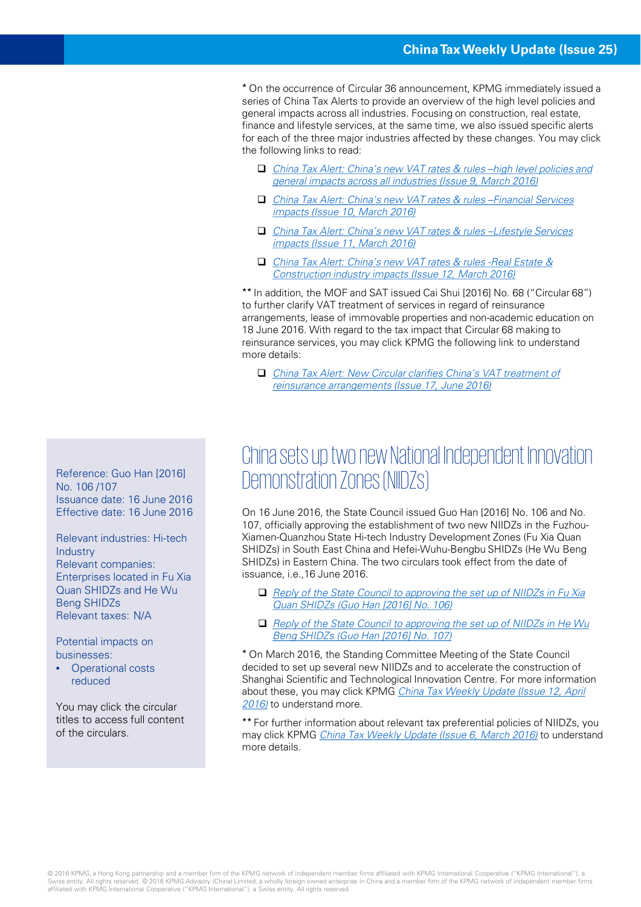\* On the occurrence of Circular 36 announcement, KPMG immediately issued a series of China Tax Alerts to provide an overview of the high level policies and general impacts across all industries. Focusing on construction, real estate, finance and lifestyle services, at the same time, we also issued specific alerts for each of the three major industries affected by these changes. You may click the following links to read:

- [China Tax Alert: China's new VAT rates & rules –high level policies and](https://home.kpmg.com/cn/en/home/insights/2016/03/china-tax-alert-09-vat-implementation-rules.html)  general impacts across all industries (Issue 9, March 2016)
- [China Tax Alert: China's new VAT rates & rules –Financial Services](https://home.kpmg.com/cn/en/home/insights/2016/03/china-tax-alert-10-implementation-rules-fs-insurance.html) impacts (Issue 10, March 2016)
- □ China Tax Alert: China's new VAT rates & rules –Lifestyle Services impacts (Issue 11, March 2016)
- [China Tax Alert: China's new VAT rates & rules -Real Estate &](https://home.kpmg.com/cn/en/home/insights/2016/03/china-tax-alert-12-china-vat-reform-policy.html)  Construction industry impacts (Issue 12, March 2016)

\*\* In addition, the MOF and SAT issued Cai Shui [2016] No. 68 ("Circular 68") to further clarify VAT treatment of services in regard of reinsurance arrangements, lease of immovable properties and non-academic education on 18 June 2016. With regard to the tax impact that Circular 68 making to reinsurance services, you may click KPMG the following link to understand more details:

 [China Tax Alert: New Circular clarifies China's VAT treatment of](https://home.kpmg.com/cn/en/home/insights/2016/06/china-tax-alert-17-va-treatment-of-reinsurance-arrangements.html)  reinsurance arrangements (Issue 17, June 2016)

#### China sets up two new National Independent Innovation Reference: Guo Han [2016]<br>No. 106/107<br>Demonstration Zones (NIIDZS)

On 16 June 2016, the State Council issued Guo Han [2016] No. 106 and No. 107, officially approving the establishment of two new NIIDZs in the Fuzhou-Xiamen-Quanzhou State Hi-tech Industry Development Zones (Fu Xia Quan SHIDZs) in South East China and Hefei-Wuhu-Bengbu SHIDZs (He Wu Beng SHIDZs) in Eastern China. The two circulars took effect from the date of issuance, i.e.,16 June 2016.

- Reply of the State Council to approving the set up of NIIDZs in Fu Xia Quan SHIDZs (Guo Han [2016] No. 106)
- $\Box$  Reply of the State Council to approving the set up of NIIDZs in He Wu Beng SHIDZs (Guo Han [2016] No. 107)

\* On March 2016, the Standing Committee Meeting of the State Council decided to set up several new NIIDZs and to accelerate the construction of Shanghai Scientific and Technological Innovation Centre. For more information about these, you may click KPMG [China Tax Weekly Update \(Issue 12, April](https://home.kpmg.com/cn/en/home/insights/2016/04/china-tax-weekly-update-12.html)  2016) to understand more.

\*\* For further information about relevant tax preferential policies of NIIDZs, you may click KPMG [China Tax Weekly Update \(Issue 6, March 2016\)](https://home.kpmg.com/cn/en/home/insights/2016/02/china-tax-weekly-update-06.html) to understand more details.

No. 106 /107 Issuance date: 16 June 2016 Effective date: 16 June 2016

Relevant industries: Hi-tech Industry Relevant companies: Enterprises located in Fu Xia Quan SHIDZs and He Wu Beng SHIDZs Relevant taxes: N/A

Potential impacts on businesses:

• Operational costs reduced

You may click the circular titles to access full content of the circulars.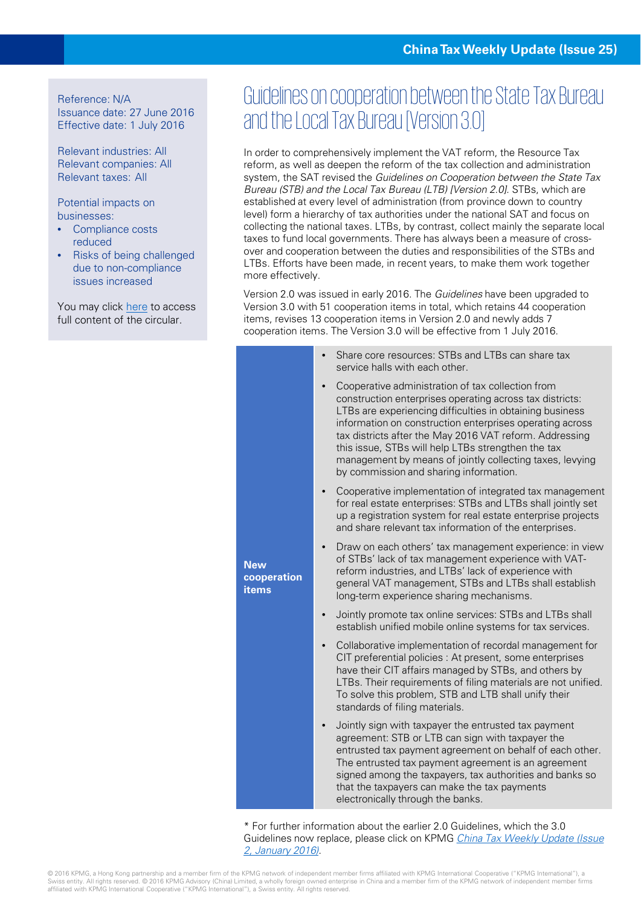Reference: N/A Issuance date: 27 June 2016 Effective date: 1 July 2016

Relevant industries: All Relevant companies: All Relevant taxes: All

Potential impacts on businesses:

- Compliance costs reduced
- Risks of being challenged due to non-compliance issues increased

You may click [here](http://www.chinatax.gov.cn/n810219/n810724/c2196125/content.html) to access full content of the circular.

#### Guidelines on cooperation between the State Tax Bureau and the Local Tax Bureau [Version 3.0]

In order to comprehensively implement the VAT reform, the Resource Tax reform, as well as deepen the reform of the tax collection and administration system, the SAT revised the Guidelines on Cooperation between the State Tax Bureau (STB) and the Local Tax Bureau (LTB) [Version 2.0]. STBs, which are established at every level of administration (from province down to country level) form a hierarchy of tax authorities under the national SAT and focus on collecting the national taxes. LTBs, by contrast, collect mainly the separate local taxes to fund local governments. There has always been a measure of crossover and cooperation between the duties and responsibilities of the STBs and LTBs. Efforts have been made, in recent years, to make them work together more effectively.

Version 2.0 was issued in early 2016. The Guidelines have been upgraded to Version 3.0 with 51 cooperation items in total, which retains 44 cooperation items, revises 13 cooperation items in Version 2.0 and newly adds 7 cooperation items. The Version 3.0 will be effective from 1 July 2016.

|                                           | Share core resources: STBs and LTBs can share tax<br>service halls with each other.                                                                                                                                                                                                                                                                                                                                                                          |
|-------------------------------------------|--------------------------------------------------------------------------------------------------------------------------------------------------------------------------------------------------------------------------------------------------------------------------------------------------------------------------------------------------------------------------------------------------------------------------------------------------------------|
|                                           | Cooperative administration of tax collection from<br>construction enterprises operating across tax districts:<br>LTBs are experiencing difficulties in obtaining business<br>information on construction enterprises operating across<br>tax districts after the May 2016 VAT reform. Addressing<br>this issue, STBs will help LTBs strengthen the tax<br>management by means of jointly collecting taxes, levying<br>by commission and sharing information. |
|                                           | Cooperative implementation of integrated tax management<br>for real estate enterprises: STBs and LTBs shall jointly set<br>up a registration system for real estate enterprise projects<br>and share relevant tax information of the enterprises.                                                                                                                                                                                                            |
| <b>New</b><br>cooperation<br><b>items</b> | Draw on each others' tax management experience: in view<br>of STBs' lack of tax management experience with VAT-<br>reform industries, and LTBs' lack of experience with<br>general VAT management, STBs and LTBs shall establish<br>long-term experience sharing mechanisms.                                                                                                                                                                                 |
|                                           | Jointly promote tax online services: STBs and LTBs shall<br>establish unified mobile online systems for tax services.                                                                                                                                                                                                                                                                                                                                        |
|                                           | Collaborative implementation of recordal management for<br>CIT preferential policies : At present, some enterprises<br>have their CIT affairs managed by STBs, and others by<br>LTBs. Their requirements of filing materials are not unified.<br>To solve this problem, STB and LTB shall unify their<br>standards of filing materials.                                                                                                                      |
|                                           | Jointly sign with taxpayer the entrusted tax payment<br>agreement: STB or LTB can sign with taxpayer the<br>entrusted tax payment agreement on behalf of each other.<br>The entrusted tax payment agreement is an agreement<br>signed among the taxpayers, tax authorities and banks so<br>that the taxpayers can make the tax payments<br>electronically through the banks.                                                                                 |
|                                           |                                                                                                                                                                                                                                                                                                                                                                                                                                                              |

\* For further information about the earlier 2.0 Guidelines, which the 3.0 [Guidelines now replace, please click on KPMG](https://home.kpmg.com/cn/en/home/insights/2016/01/china-tax-weekly-update-02.html) China Tax Weekly Update (Issue 2, January 2016).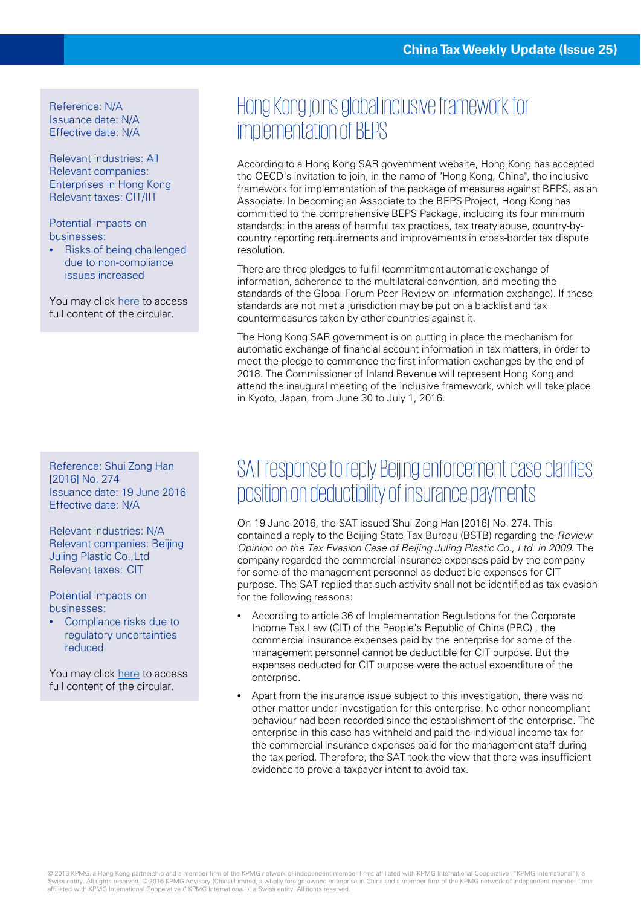Reference: N/A Issuance date: N/A Effective date: N/A

Relevant industries: All Relevant companies: Enterprises in Hong Kong Relevant taxes: CIT/IIT

Potential impacts on businesses:

• Risks of being challenged due to non-compliance issues increased

You may click [here](http://www.info.gov.hk/gia/general/201606/20/P201606200520.htm) to access full content of the circular.

Reference: Shui Zong Han [2016] No. 274 Issuance date: 19 June 2016 Effective date: N/A

Relevant industries: N/A Relevant companies: Beijing Juling Plastic Co.,Ltd Relevant taxes: CIT

Potential impacts on businesses:

• Compliance risks due to regulatory uncertainties reduced

You may click [here](http://www.chinatax.gov.cn/n810341/n810755/c2183495/content.html) to access full content of the circular.

#### Hong Kong joins global inclusive framework for implementation of BEPS

According to a Hong Kong SAR government website, Hong Kong has accepted the OECD's invitation to join, in the name of "Hong Kong, China", the inclusive framework for implementation of the package of measures against BEPS, as an Associate. In becoming an Associate to the BEPS Project, Hong Kong has committed to the comprehensive BEPS Package, including its four minimum standards: in the areas of harmful tax practices, tax treaty abuse, country-bycountry reporting requirements and improvements in cross-border tax dispute resolution.

There are three pledges to fulfil (commitment automatic exchange of information, adherence to the multilateral convention, and meeting the standards of the Global Forum Peer Review on information exchange). If these standards are not met a jurisdiction may be put on a blacklist and tax countermeasures taken by other countries against it.

The Hong Kong SAR government is on putting in place the mechanism for automatic exchange of financial account information in tax matters, in order to meet the pledge to commence the first information exchanges by the end of 2018. The Commissioner of Inland Revenue will represent Hong Kong and attend the inaugural meeting of the inclusive framework, which will take place in Kyoto, Japan, from June 30 to July 1, 2016.

#### SAT response to reply Beijing enforcement case clarifies position on deductibility of insurance payments

On 19 June 2016, the SAT issued Shui Zong Han [2016] No. 274. This contained a reply to the Beijing State Tax Bureau (BSTB) regarding the Review Opinion on the Tax Evasion Case of Beijing Juling Plastic Co., Ltd. in 2009. The company regarded the commercial insurance expenses paid by the company for some of the management personnel as deductible expenses for CIT purpose. The SAT replied that such activity shall not be identified as tax evasion for the following reasons:

- According to article 36 of Implementation Regulations for the Corporate Income Tax Law (CIT) of the People's Republic of China (PRC) , the commercial insurance expenses paid by the enterprise for some of the management personnel cannot be deductible for CIT purpose. But the expenses deducted for CIT purpose were the actual expenditure of the enterprise.
- Apart from the insurance issue subject to this investigation, there was no other matter under investigation for this enterprise. No other noncompliant behaviour had been recorded since the establishment of the enterprise. The enterprise in this case has withheld and paid the individual income tax for the commercial insurance expenses paid for the management staff during the tax period. Therefore, the SAT took the view that there was insufficient evidence to prove a taxpayer intent to avoid tax.

© 2016 KPMG, a Hong Kong partnership and a member firm of the KPMG network of independent member firms affiliated with KPMG International Cooperative ("KPMG International"), a Swiss entity. All rights reserved. © 2016 KPMG Advisory (China) Limited, a wholly foreign owned enterprise in China and a member firm of the KPMG network of independent member firms affiliated with KPMG International Cooperative ("KPMG International"), a Swiss entity. All rights reserved.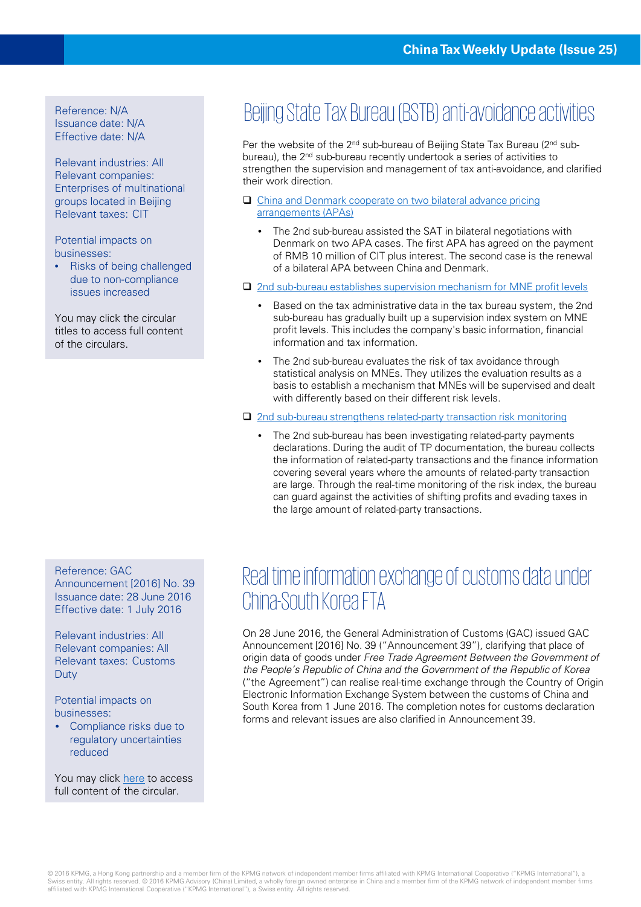Issuance date: N/A Effective date: N/A

Relevant industries: All Relevant companies: Enterprises of multinational groups located in Beijing Relevant taxes: CIT

Potential impacts on businesses:

• Risks of being challenged due to non-compliance issues increased

You may click the circular titles to access full content of the circulars.

## Beijing State Tax Bureau (BSTB) anti-avoidance activities

Per the website of the 2nd sub-bureau of Beijing State Tax Bureau (2nd subbureau), the 2nd sub-bureau recently undertook a series of activities to strengthen the supervision and management of tax anti-avoidance, and clarified their work direction.

- [China and Denmark cooperate on two bilateral advance pricing](http://www.bjtax.gov.cn/bjsat/qxfj/zsefj/sy/zfxxgk/zfxxgkml/gzdt/201606/t20160627_261981.html)  arrangements (APAs)
	- The 2nd sub-bureau assisted the SAT in bilateral negotiations with Denmark on two APA cases. The first APA has agreed on the payment of RMB 10 million of CIT plus interest. The second case is the renewal of a bilateral APA between China and Denmark.
- □ [2nd sub-bureau establishes supervision mechanism for MNE profit levels](http://www.bjtax.gov.cn/bjsat/qxfj/zsefj/sy/zfxxgk/zfxxgkml/gzdt/201606/t20160627_261979.html)
	- Based on the tax administrative data in the tax bureau system, the 2nd sub-bureau has gradually built up a supervision index system on MNE profit levels. This includes the company's basic information, financial information and tax information.
	- The 2nd sub-bureau evaluates the risk of tax avoidance through statistical analysis on MNEs. They utilizes the evaluation results as a basis to establish a mechanism that MNEs will be supervised and dealt with differently based on their different risk levels.
- □ [2nd sub-bureau strengthens related-party transaction risk monitoring](http://www.bjtax.gov.cn/bjsat/qxfj/zsefj/sy/zfxxgk/zfxxgkml/gzdt/201606/t20160627_261978.html)
	- The 2nd sub-bureau has been investigating related-party payments declarations. During the audit of TP documentation, the bureau collects the information of related-party transactions and the finance information covering several years where the amounts of related-party transaction are large. Through the real-time monitoring of the risk index, the bureau can guard against the activities of shifting profits and evading taxes in the large amount of related-party transactions.

Reference: GAC

Announcement [2016] No. 39 Issuance date: 28 June 2016 Effective date: 1 July 2016

Relevant industries: All Relevant companies: All Relevant taxes: Customs Duty

Potential impacts on businesses:

Compliance risks due to regulatory uncertainties reduced

You may click [here](http://www.customs.gov.cn/publish/portal0/tab49661/module126388/info805663.htm) to access full content of the circular.

#### Real time information exchange of customs data under China-South Korea FTA

On 28 June 2016, the General Administration of Customs (GAC) issued GAC Announcement [2016] No. 39 ("Announcement 39"), clarifying that place of origin data of goods under Free Trade Agreement Between the Government of the People's Republic of China and the Government of the Republic of Korea ("the Agreement") can realise real-time exchange through the Country of Origin Electronic Information Exchange System between the customs of China and South Korea from 1 June 2016. The completion notes for customs declaration forms and relevant issues are also clarified in Announcement 39.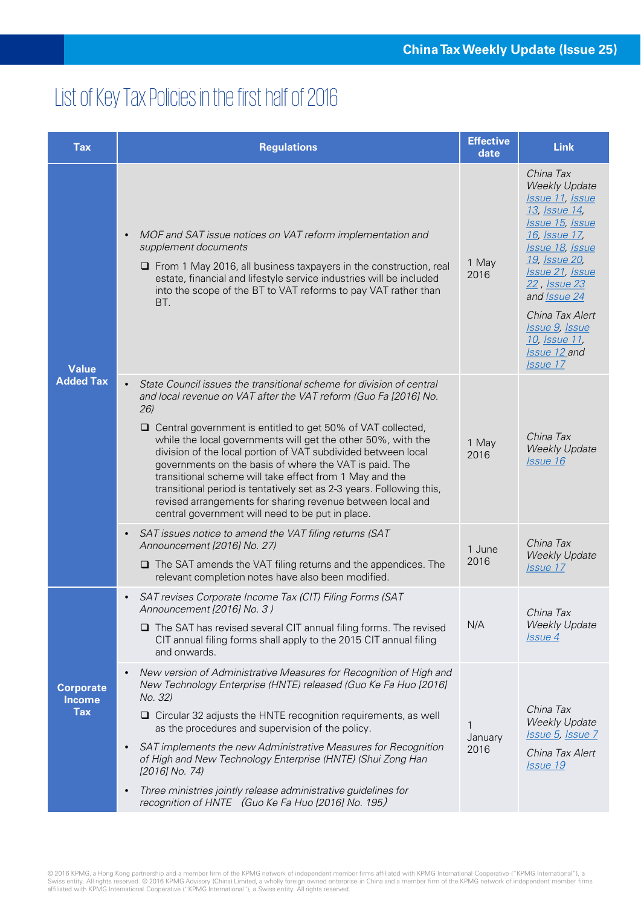## List of Key Tax Policies in the first half of 2016

| <b>Tax</b>                                      | <b>Regulations</b>                                                                                                                                                                                                                                                                                                                                                                                                                                                                                                                                                                                                                                                            | <b>Effective</b><br>date | <b>Link</b>                                                                                                                                                                                                                                                                                       |
|-------------------------------------------------|-------------------------------------------------------------------------------------------------------------------------------------------------------------------------------------------------------------------------------------------------------------------------------------------------------------------------------------------------------------------------------------------------------------------------------------------------------------------------------------------------------------------------------------------------------------------------------------------------------------------------------------------------------------------------------|--------------------------|---------------------------------------------------------------------------------------------------------------------------------------------------------------------------------------------------------------------------------------------------------------------------------------------------|
| <b>Value</b><br><b>Added Tax</b>                | MOF and SAT issue notices on VAT reform implementation and<br>$\bullet$<br>supplement documents<br>$\Box$ From 1 May 2016, all business taxpayers in the construction, real<br>estate, financial and lifestyle service industries will be included<br>into the scope of the BT to VAT reforms to pay VAT rather than<br>BT.                                                                                                                                                                                                                                                                                                                                                   | 1 May<br>2016            | China Tax<br><b>Weekly Update</b><br>Issue 11, Issue<br>13, Issue 14,<br>Issue 15, Issue<br>16, Issue 17,<br>Issue 18, Issue<br>19, Issue 20,<br><b>Issue 21, Issue</b><br>22, Issue 23<br>and Issue 24<br>China Tax Alert<br>Issue 9, Issue<br><u>10, Issue 11, </u><br>Issue 12 and<br>Issue 17 |
|                                                 | State Council issues the transitional scheme for division of central<br>$\bullet$<br>and local revenue on VAT after the VAT reform (Guo Fa [2016] No.<br>26)<br>□ Central government is entitled to get 50% of VAT collected,<br>while the local governments will get the other 50%, with the<br>division of the local portion of VAT subdivided between local<br>governments on the basis of where the VAT is paid. The<br>transitional scheme will take effect from 1 May and the<br>transitional period is tentatively set as 2-3 years. Following this,<br>revised arrangements for sharing revenue between local and<br>central government will need to be put in place. | 1 May<br>2016            | China Tax<br><b>Weekly Update</b><br>Issue 16                                                                                                                                                                                                                                                     |
|                                                 | SAT issues notice to amend the VAT filing returns (SAT<br>$\bullet$<br>Announcement [2016] No. 27)<br>$\Box$ The SAT amends the VAT filing returns and the appendices. The<br>relevant completion notes have also been modified.                                                                                                                                                                                                                                                                                                                                                                                                                                              | 1 June<br>2016           | China Tax<br><b>Weekly Update</b><br>Issue 17                                                                                                                                                                                                                                                     |
| <b>Corporate</b><br><b>Income</b><br><b>Tax</b> | SAT revises Corporate Income Tax (CIT) Filing Forms (SAT<br>$\bullet$<br>Announcement [2016] No. 3)<br>$\Box$ The SAT has revised several CIT annual filing forms. The revised<br>CIT annual filing forms shall apply to the 2015 CIT annual filing<br>and onwards.                                                                                                                                                                                                                                                                                                                                                                                                           | N/A                      | China Tax<br><b>Weekly Update</b><br><i>Issue 4</i>                                                                                                                                                                                                                                               |
|                                                 | New version of Administrative Measures for Recognition of High and<br>$\bullet$<br>New Technology Enterprise (HNTE) released (Guo Ke Fa Huo [2016]<br>No. 32)<br>$\Box$ Circular 32 adjusts the HNTE recognition requirements, as well<br>as the procedures and supervision of the policy.<br>SAT implements the new Administrative Measures for Recognition<br>$\bullet$<br>of High and New Technology Enterprise (HNTE) (Shui Zong Han<br>$[2016]$ No. 74)<br>Three ministries jointly release administrative guidelines for<br>$\bullet$<br>recognition of HNTE (Guo Ke Fa Huo [2016] No. 195)                                                                             | 1<br>January<br>2016     | China Tax<br><b>Weekly Update</b><br>Issue 5, Issue 7<br>China Tax Alert<br><b>Issue 19</b>                                                                                                                                                                                                       |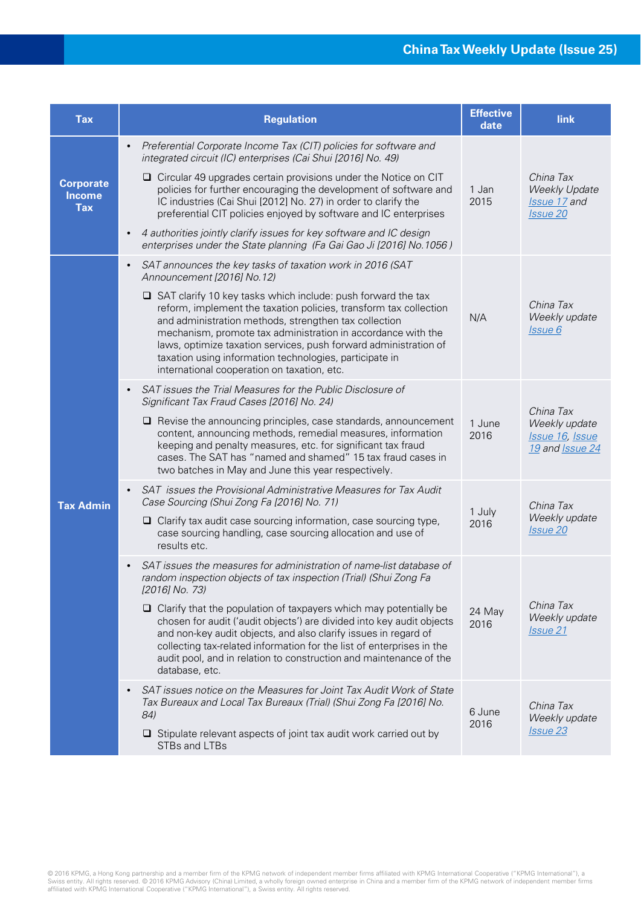| <b>Tax</b>                                      | <b>Regulation</b>                                                                                                                                                                                                                                                                                                                                                                                                                               | <b>Effective</b><br>date | link                                                                 |
|-------------------------------------------------|-------------------------------------------------------------------------------------------------------------------------------------------------------------------------------------------------------------------------------------------------------------------------------------------------------------------------------------------------------------------------------------------------------------------------------------------------|--------------------------|----------------------------------------------------------------------|
| <b>Corporate</b><br><b>Income</b><br><b>Tax</b> | Preferential Corporate Income Tax (CIT) policies for software and<br>$\bullet$<br>integrated circuit (IC) enterprises (Cai Shui [2016] No. 49)                                                                                                                                                                                                                                                                                                  |                          |                                                                      |
|                                                 | $\Box$ Circular 49 upgrades certain provisions under the Notice on CIT<br>policies for further encouraging the development of software and<br>IC industries (Cai Shui [2012] No. 27) in order to clarify the<br>preferential CIT policies enjoyed by software and IC enterprises                                                                                                                                                                | 1 Jan<br>2015            | China Tax<br><b>Weekly Update</b><br>Issue 17 and<br><b>Issue 20</b> |
|                                                 | 4 authorities jointly clarify issues for key software and IC design<br>$\bullet$<br>enterprises under the State planning (Fa Gai Gao Ji [2016] No.1056)                                                                                                                                                                                                                                                                                         |                          |                                                                      |
| <b>Tax Admin</b>                                | SAT announces the key tasks of taxation work in 2016 (SAT<br>$\bullet$<br>Announcement [2016] No.12)                                                                                                                                                                                                                                                                                                                                            |                          |                                                                      |
|                                                 | $\Box$ SAT clarify 10 key tasks which include: push forward the tax<br>reform, implement the taxation policies, transform tax collection<br>and administration methods, strengthen tax collection<br>mechanism, promote tax administration in accordance with the<br>laws, optimize taxation services, push forward administration of<br>taxation using information technologies, participate in<br>international cooperation on taxation, etc. | N/A                      | China Tax<br>Weekly update<br>Issue 6                                |
|                                                 | SAT issues the Trial Measures for the Public Disclosure of<br>Significant Tax Fraud Cases [2016] No. 24)                                                                                                                                                                                                                                                                                                                                        |                          |                                                                      |
|                                                 | $\Box$ Revise the announcing principles, case standards, announcement<br>content, announcing methods, remedial measures, information<br>keeping and penalty measures, etc. for significant tax fraud<br>cases. The SAT has "named and shamed" 15 tax fraud cases in<br>two batches in May and June this year respectively.                                                                                                                      | 1 June<br>2016           | China Tax<br>Weekly update<br>Issue 16, Issue<br>19 and Issue 24     |
|                                                 | SAT issues the Provisional Administrative Measures for Tax Audit<br>$\bullet$<br>Case Sourcing (Shui Zong Fa [2016] No. 71)                                                                                                                                                                                                                                                                                                                     |                          | China Tax                                                            |
|                                                 | $\Box$ Clarify tax audit case sourcing information, case sourcing type,<br>case sourcing handling, case sourcing allocation and use of<br>results etc.                                                                                                                                                                                                                                                                                          | 1 July<br>2016           | Weekly update<br><b>Issue 20</b>                                     |
|                                                 | SAT issues the measures for administration of name-list database of<br>random inspection objects of tax inspection (Trial) (Shui Zong Fa<br>[2016] No. 73)                                                                                                                                                                                                                                                                                      |                          |                                                                      |
|                                                 | $\Box$ Clarify that the population of taxpayers which may potentially be<br>chosen for audit ('audit objects') are divided into key audit objects<br>and non-key audit objects, and also clarify issues in regard of<br>collecting tax-related information for the list of enterprises in the<br>audit pool, and in relation to construction and maintenance of the<br>database, etc.                                                           | 24 May<br>2016           | China Tax<br>Weekly update<br><b>Issue 21</b>                        |
|                                                 | SAT issues notice on the Measures for Joint Tax Audit Work of State<br>$\bullet$<br>Tax Bureaux and Local Tax Bureaux (Trial) (Shui Zong Fa [2016] No.<br>84)<br>$\Box$ Stipulate relevant aspects of joint tax audit work carried out by                                                                                                                                                                                                       | 6 June<br>2016           | China Tax<br>Weekly update<br><b>Issue 23</b>                        |
|                                                 | STBs and LTBs                                                                                                                                                                                                                                                                                                                                                                                                                                   |                          |                                                                      |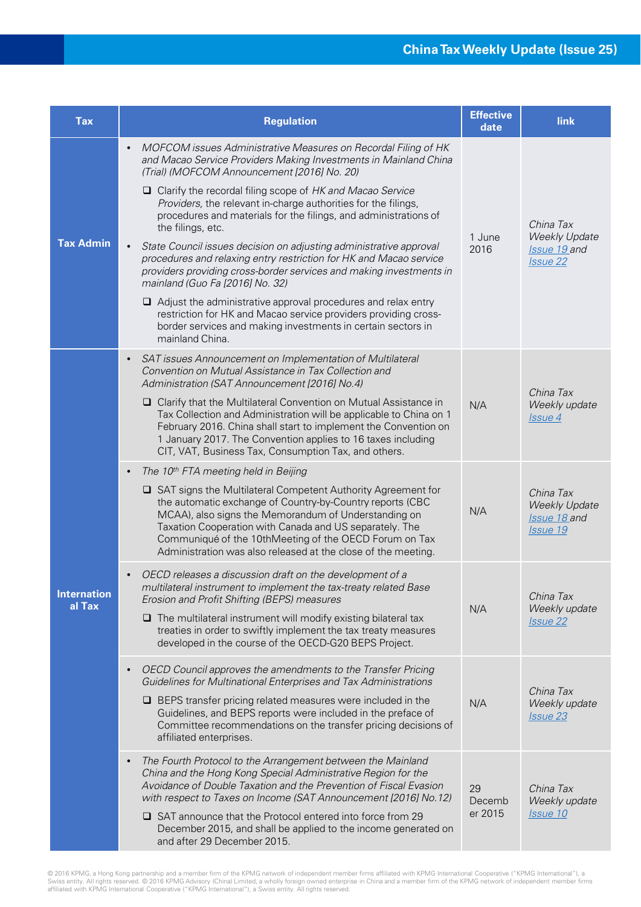| <b>Tax</b>                   | <b>Regulation</b>                                                                                                                                                                                                                                                                                                                                                                                                                          | <b>Effective</b><br>date | link                                                                 |
|------------------------------|--------------------------------------------------------------------------------------------------------------------------------------------------------------------------------------------------------------------------------------------------------------------------------------------------------------------------------------------------------------------------------------------------------------------------------------------|--------------------------|----------------------------------------------------------------------|
| <b>Tax Admin</b>             | MOFCOM issues Administrative Measures on Recordal Filing of HK<br>$\bullet$<br>and Macao Service Providers Making Investments in Mainland China<br>(Trial) (MOFCOM Announcement [2016] No. 20)                                                                                                                                                                                                                                             |                          |                                                                      |
|                              | $\Box$ Clarify the recordal filing scope of HK and Macao Service<br>Providers, the relevant in-charge authorities for the filings,<br>procedures and materials for the filings, and administrations of<br>the filings, etc.                                                                                                                                                                                                                | 1 June<br>2016           | China Tax<br><b>Weekly Update</b><br>Issue 19 and<br><b>Issue 22</b> |
|                              | State Council issues decision on adjusting administrative approval<br>$\bullet$<br>procedures and relaxing entry restriction for HK and Macao service<br>providers providing cross-border services and making investments in<br>mainland (Guo Fa [2016] No. 32)                                                                                                                                                                            |                          |                                                                      |
|                              | $\Box$ Adjust the administrative approval procedures and relax entry<br>restriction for HK and Macao service providers providing cross-<br>border services and making investments in certain sectors in<br>mainland China.                                                                                                                                                                                                                 |                          |                                                                      |
|                              | SAT issues Announcement on Implementation of Multilateral<br>$\bullet$<br>Convention on Mutual Assistance in Tax Collection and<br>Administration (SAT Announcement [2016] No.4)                                                                                                                                                                                                                                                           |                          | China Tax<br>Weekly update<br>Issue 4                                |
| <b>Internation</b><br>al Tax | □ Clarify that the Multilateral Convention on Mutual Assistance in<br>Tax Collection and Administration will be applicable to China on 1<br>February 2016. China shall start to implement the Convention on<br>1 January 2017. The Convention applies to 16 taxes including<br>CIT, VAT, Business Tax, Consumption Tax, and others.                                                                                                        | N/A                      |                                                                      |
|                              | The 10 <sup>th</sup> FTA meeting held in Beijing<br>$\bullet$<br>□ SAT signs the Multilateral Competent Authority Agreement for<br>the automatic exchange of Country-by-Country reports (CBC<br>MCAA), also signs the Memorandum of Understanding on<br>Taxation Cooperation with Canada and US separately. The<br>Communiqué of the 10thMeeting of the OECD Forum on Tax<br>Administration was also released at the close of the meeting. | N/A                      | China Tax<br><b>Weekly Update</b><br>Issue 18 and<br><b>Issue 19</b> |
|                              | OECD releases a discussion draft on the development of a<br>multilateral instrument to implement the tax-treaty related Base<br>Erosion and Profit Shifting (BEPS) measures<br>$\Box$ The multilateral instrument will modify existing bilateral tax<br>treaties in order to swiftly implement the tax treaty measures<br>developed in the course of the OECD-G20 BEPS Project.                                                            | N/A                      | China Tax<br>Weekly update<br><i>Issue</i> 22                        |
|                              | OECD Council approves the amendments to the Transfer Pricing<br>$\bullet$<br>Guidelines for Multinational Enterprises and Tax Administrations<br>$\Box$ BEPS transfer pricing related measures were included in the<br>Guidelines, and BEPS reports were included in the preface of<br>Committee recommendations on the transfer pricing decisions of<br>affiliated enterprises.                                                           | N/A                      | China Tax<br>Weekly update<br><b>Issue 23</b>                        |
|                              | The Fourth Protocol to the Arrangement between the Mainland<br>$\bullet$<br>China and the Hong Kong Special Administrative Region for the<br>Avoidance of Double Taxation and the Prevention of Fiscal Evasion<br>with respect to Taxes on Income (SAT Announcement [2016] No.12)                                                                                                                                                          | 29<br>Decemb             | China Tax<br>Weekly update                                           |
|                              | □ SAT announce that the Protocol entered into force from 29<br>December 2015, and shall be applied to the income generated on<br>and after 29 December 2015.                                                                                                                                                                                                                                                                               | er 2015                  | Issue 10                                                             |

© 2016 KPMG, a Hong Kong partnership and a member firm of the KPMG network of independent member firms affiliated with KPMG International Cooperative ("KPMG International"), a<br>Swiss entity. All rights reserved. © 2016 KPMG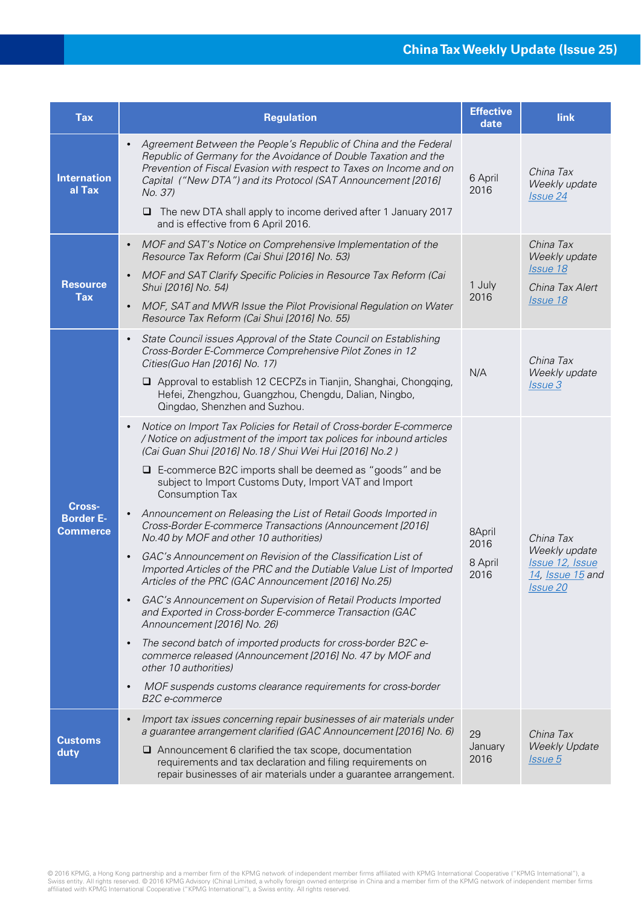| <b>Tax</b>                                    | <b>Regulation</b>                                                                                                                                                                                                                                                                                                                                                                                                                                                                                                                                                                                                                                                                                                                                                                                                                                                                                                                                                                                                                                                                                                                                                                                                       | <b>Effective</b><br>date          | link                                                                                               |
|-----------------------------------------------|-------------------------------------------------------------------------------------------------------------------------------------------------------------------------------------------------------------------------------------------------------------------------------------------------------------------------------------------------------------------------------------------------------------------------------------------------------------------------------------------------------------------------------------------------------------------------------------------------------------------------------------------------------------------------------------------------------------------------------------------------------------------------------------------------------------------------------------------------------------------------------------------------------------------------------------------------------------------------------------------------------------------------------------------------------------------------------------------------------------------------------------------------------------------------------------------------------------------------|-----------------------------------|----------------------------------------------------------------------------------------------------|
| <b>Internation</b><br>al Tax                  | Agreement Between the People's Republic of China and the Federal<br>$\bullet$<br>Republic of Germany for the Avoidance of Double Taxation and the<br>Prevention of Fiscal Evasion with respect to Taxes on Income and on<br>Capital ("New DTA") and its Protocol (SAT Announcement [2016]<br>No. 37)<br>The new DTA shall apply to income derived after 1 January 2017<br>⊔<br>and is effective from 6 April 2016.                                                                                                                                                                                                                                                                                                                                                                                                                                                                                                                                                                                                                                                                                                                                                                                                      | 6 April<br>2016                   | China Tax<br>Weekly update<br><b>Issue 24</b>                                                      |
| <b>Resource</b><br><b>Tax</b>                 | MOF and SAT's Notice on Comprehensive Implementation of the<br>$\bullet$<br>Resource Tax Reform (Cai Shui [2016] No. 53)<br>MOF and SAT Clarify Specific Policies in Resource Tax Reform (Cai<br>$\bullet$<br>Shui [2016] No. 54)<br>MOF, SAT and MWR Issue the Pilot Provisional Regulation on Water<br>$\bullet$<br>Resource Tax Reform (Cai Shui [2016] No. 55)                                                                                                                                                                                                                                                                                                                                                                                                                                                                                                                                                                                                                                                                                                                                                                                                                                                      | 1 July<br>2016                    | China Tax<br>Weekly update<br>Issue 18<br>China Tax Alert<br>Issue 18                              |
| Cross-<br><b>Border E-</b><br><b>Commerce</b> | State Council issues Approval of the State Council on Establishing<br>$\bullet$<br>Cross-Border E-Commerce Comprehensive Pilot Zones in 12<br>Cities(Guo Han [2016] No. 17)<br>Approval to establish 12 CECPZs in Tianjin, Shanghai, Chongqing,<br>Hefei, Zhengzhou, Guangzhou, Chengdu, Dalian, Ningbo,<br>Qingdao, Shenzhen and Suzhou.                                                                                                                                                                                                                                                                                                                                                                                                                                                                                                                                                                                                                                                                                                                                                                                                                                                                               | N/A                               | China Tax<br>Weekly update<br>Issue 3                                                              |
|                                               | Notice on Import Tax Policies for Retail of Cross-border E-commerce<br>$\bullet$<br>/ Notice on adjustment of the import tax polices for inbound articles<br>(Cai Guan Shui [2016] No.18 / Shui Wei Hui [2016] No.2)<br>$\Box$ E-commerce B2C imports shall be deemed as "goods" and be<br>subject to Import Customs Duty, Import VAT and Import<br>Consumption Tax<br>Announcement on Releasing the List of Retail Goods Imported in<br>$\bullet$<br>Cross-Border E-commerce Transactions (Announcement [2016]<br>No.40 by MOF and other 10 authorities)<br>GAC's Announcement on Revision of the Classification List of<br>$\bullet$<br>Imported Articles of the PRC and the Dutiable Value List of Imported<br>Articles of the PRC (GAC Announcement [2016] No.25)<br>GAC's Announcement on Supervision of Retail Products Imported<br>$\bullet$<br>and Exported in Cross-border E-commerce Transaction (GAC<br>Announcement [2016] No. 26)<br>The second batch of imported products for cross-border B2C e-<br>$\bullet$<br>commerce released (Announcement [2016] No. 47 by MOF and<br>other 10 authorities)<br>MOF suspends customs clearance requirements for cross-border<br>$\bullet$<br><i>B2C e-commerce</i> | 8April<br>2016<br>8 April<br>2016 | China Tax<br>Weekly update<br>Issue 12, Issue<br>14, Issue 15 and<br><i><u><b>Issue 20</b></u></i> |
| Customs<br>duty                               | Import tax issues concerning repair businesses of air materials under<br>$\bullet$<br>a guarantee arrangement clarified (GAC Announcement [2016] No. 6)<br>$\Box$ Announcement 6 clarified the tax scope, documentation<br>requirements and tax declaration and filing requirements on<br>repair businesses of air materials under a guarantee arrangement.                                                                                                                                                                                                                                                                                                                                                                                                                                                                                                                                                                                                                                                                                                                                                                                                                                                             | 29<br>January<br>2016             | China Tax<br><b>Weekly Update</b><br><i>Issue</i> 5                                                |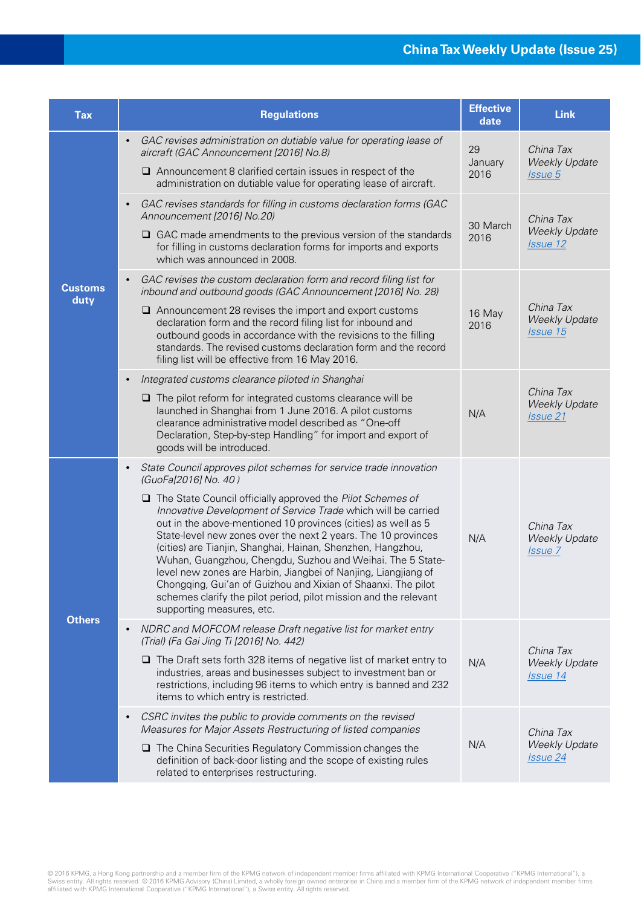| <b>Tax</b>             | <b>Regulations</b>                                                                                                                                                                                                                                                                                                                                                                                                                                                                                                                                                                                                                                                                                                                              | <b>Effective</b><br>date | <b>Link</b>                                          |
|------------------------|-------------------------------------------------------------------------------------------------------------------------------------------------------------------------------------------------------------------------------------------------------------------------------------------------------------------------------------------------------------------------------------------------------------------------------------------------------------------------------------------------------------------------------------------------------------------------------------------------------------------------------------------------------------------------------------------------------------------------------------------------|--------------------------|------------------------------------------------------|
| <b>Customs</b><br>duty | GAC revises administration on dutiable value for operating lease of<br>$\bullet$<br>aircraft (GAC Announcement [2016] No.8)<br>$\Box$ Announcement 8 clarified certain issues in respect of the<br>administration on dutiable value for operating lease of aircraft.                                                                                                                                                                                                                                                                                                                                                                                                                                                                            | 29<br>January<br>2016    | China Tax<br><b>Weekly Update</b><br>Issue 5         |
|                        | GAC revises standards for filling in customs declaration forms (GAC<br>$\bullet$<br>Announcement [2016] No.20)<br>$\Box$ GAC made amendments to the previous version of the standards<br>for filling in customs declaration forms for imports and exports<br>which was announced in 2008.                                                                                                                                                                                                                                                                                                                                                                                                                                                       | 30 March<br>2016         | China Tax<br><b>Weekly Update</b><br>Issue 12        |
|                        | GAC revises the custom declaration form and record filing list for<br>$\bullet$<br>inbound and outbound goods (GAC Announcement [2016] No. 28)<br>$\Box$ Announcement 28 revises the import and export customs<br>declaration form and the record filing list for inbound and<br>outbound goods in accordance with the revisions to the filling<br>standards. The revised customs declaration form and the record<br>filing list will be effective from 16 May 2016.                                                                                                                                                                                                                                                                            | 16 May<br>2016           | China Tax<br><b>Weekly Update</b><br>Issue 15        |
|                        | Integrated customs clearance piloted in Shanghai<br>$\bullet$<br>$\Box$ The pilot reform for integrated customs clearance will be<br>launched in Shanghai from 1 June 2016. A pilot customs<br>clearance administrative model described as "One-off<br>Declaration, Step-by-step Handling" for import and export of<br>goods will be introduced.                                                                                                                                                                                                                                                                                                                                                                                                | N/A                      | China Tax<br><b>Weekly Update</b><br><b>Issue 21</b> |
| <b>Others</b>          | State Council approves pilot schemes for service trade innovation<br>$\bullet$<br>(GuoFa[2016] No. 40)<br>$\Box$ The State Council officially approved the Pilot Schemes of<br>Innovative Development of Service Trade which will be carried<br>out in the above-mentioned 10 provinces (cities) as well as 5<br>State-level new zones over the next 2 years. The 10 provinces<br>(cities) are Tianjin, Shanghai, Hainan, Shenzhen, Hangzhou,<br>Wuhan, Guangzhou, Chengdu, Suzhou and Weihai. The 5 State-<br>level new zones are Harbin, Jiangbei of Nanjing, Liangjiang of<br>Chongqing, Gui'an of Guizhou and Xixian of Shaanxi. The pilot<br>schemes clarify the pilot period, pilot mission and the relevant<br>supporting measures, etc. | N/A                      | China Tax<br><b>Weekly Update</b><br>Issue 7         |
|                        | NDRC and MOFCOM release Draft negative list for market entry<br>$\bullet$<br>(Trial) (Fa Gai Jing Ti [2016] No. 442)<br>$\Box$ The Draft sets forth 328 items of negative list of market entry to<br>industries, areas and businesses subject to investment ban or<br>restrictions, including 96 items to which entry is banned and 232<br>items to which entry is restricted.                                                                                                                                                                                                                                                                                                                                                                  | N/A                      | China Tax<br><b>Weekly Update</b><br>Issue 14        |
|                        | CSRC invites the public to provide comments on the revised<br>$\bullet$<br>Measures for Major Assets Restructuring of listed companies<br>$\Box$ The China Securities Regulatory Commission changes the<br>definition of back-door listing and the scope of existing rules<br>related to enterprises restructuring.                                                                                                                                                                                                                                                                                                                                                                                                                             | N/A                      | China Tax<br><b>Weekly Update</b><br>Issue 24        |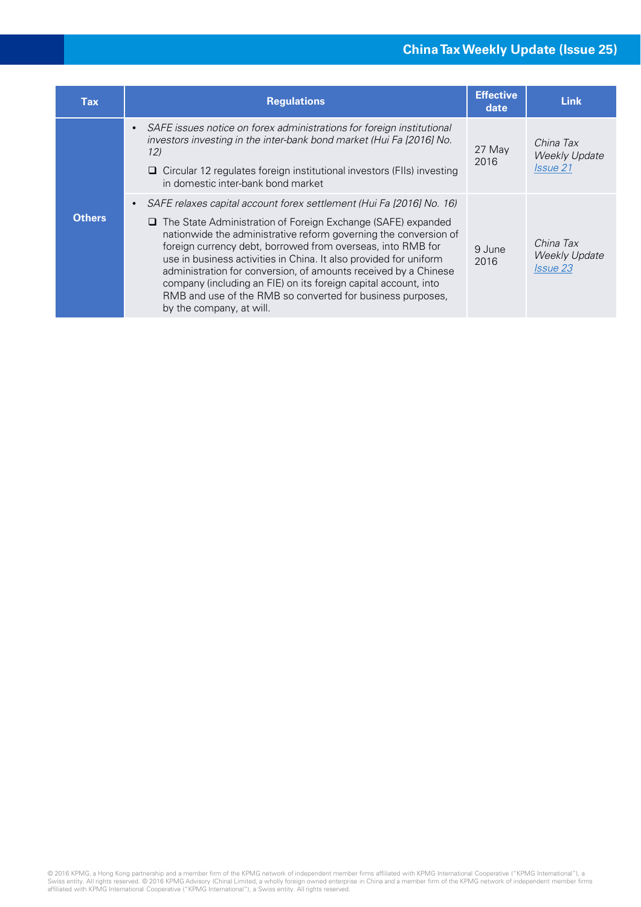#### **China Tax Weekly Update (Issue 25)**

| Tax           | <b>Regulations</b>                                                                                                                                                                                                                                                                                                                                                                                                                                                                                                                                                                | <b>Effective</b><br>date | <b>Link</b>                                          |
|---------------|-----------------------------------------------------------------------------------------------------------------------------------------------------------------------------------------------------------------------------------------------------------------------------------------------------------------------------------------------------------------------------------------------------------------------------------------------------------------------------------------------------------------------------------------------------------------------------------|--------------------------|------------------------------------------------------|
| <b>Others</b> | SAFE issues notice on forex administrations for foreign institutional<br>$\bullet$<br>investors investing in the inter-bank bond market (Hui Fa [2016] No.<br>12)<br>$\Box$ Circular 12 regulates foreign institutional investors (FIIs) investing<br>in domestic inter-bank bond market                                                                                                                                                                                                                                                                                          | 27 May<br>2016           | China Tax<br><b>Weekly Update</b><br><i>Issue</i> 21 |
|               | SAFE relaxes capital account forex settlement (Hui Fa [2016] No. 16)<br>The State Administration of Foreign Exchange (SAFE) expanded<br>⊔<br>nationwide the administrative reform governing the conversion of<br>foreign currency debt, borrowed from overseas, into RMB for<br>use in business activities in China. It also provided for uniform<br>administration for conversion, of amounts received by a Chinese<br>company (including an FIE) on its foreign capital account, into<br>RMB and use of the RMB so converted for business purposes,<br>by the company, at will. | 9 June<br>2016           | China Tax<br><b>Weekly Update</b><br>Issue 23        |